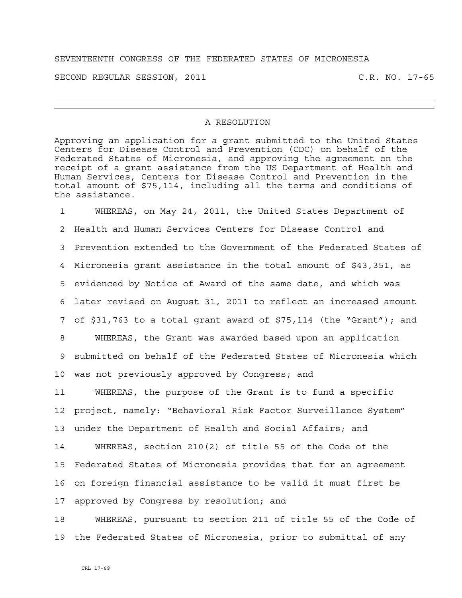## SEVENTEENTH CONGRESS OF THE FEDERATED STATES OF MICRONESIA

SECOND REGULAR SESSION, 2011 C.R. NO. 17-65

## A RESOLUTION

Approving an application for a grant submitted to the United States Centers for Disease Control and Prevention (CDC) on behalf of the Federated States of Micronesia, and approving the agreement on the receipt of a grant assistance from the US Department of Health and Human Services, Centers for Disease Control and Prevention in the total amount of \$75,114, including all the terms and conditions of the assistance.

1 WHEREAS, on May 24, 2011, the United States Department of 2 Health and Human Services Centers for Disease Control and 3 Prevention extended to the Government of the Federated States of 4 Micronesia grant assistance in the total amount of \$43,351, as 5 evidenced by Notice of Award of the same date, and which was 6 later revised on August 31, 2011 to reflect an increased amount 7 of \$31,763 to a total grant award of \$75,114 (the "Grant"); and 8 WHEREAS, the Grant was awarded based upon an application 9 submitted on behalf of the Federated States of Micronesia which 10 was not previously approved by Congress; and

11 WHEREAS, the purpose of the Grant is to fund a specific 12 project, namely: "Behavioral Risk Factor Surveillance System" 13 under the Department of Health and Social Affairs; and

14 WHEREAS, section 210(2) of title 55 of the Code of the 15 Federated States of Micronesia provides that for an agreement 16 on foreign financial assistance to be valid it must first be 17 approved by Congress by resolution; and

18 WHEREAS, pursuant to section 211 of title 55 of the Code of 19 the Federated States of Micronesia, prior to submittal of any